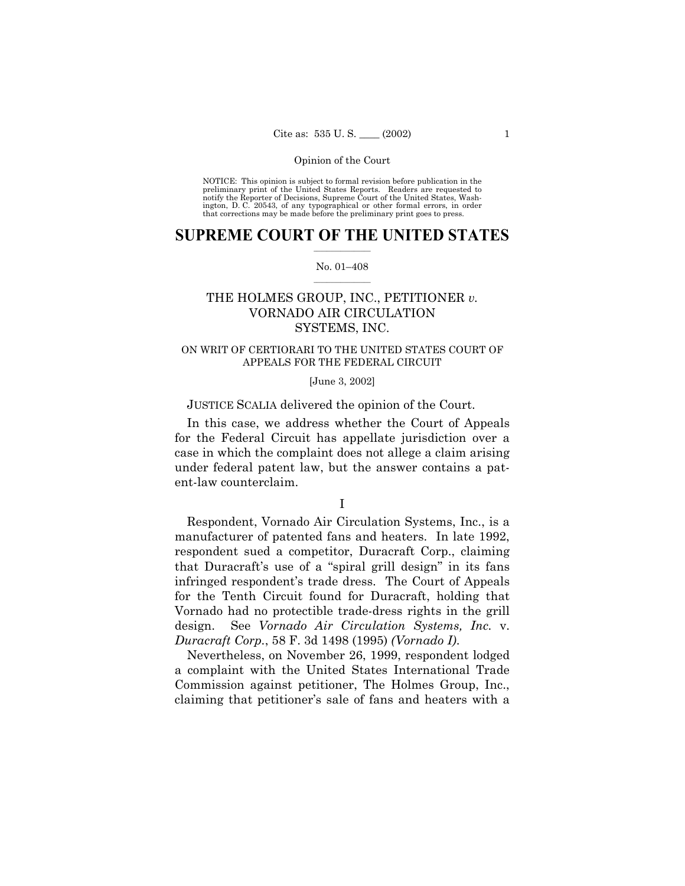NOTICE: This opinion is subject to formal revision before publication in the<br>preliminary print of the United States Reports. Readers are requested to<br>notify the Reporter of Decisions, Supreme Court of the United States, Wa ington, D. C. 20543, of any typographical or other formal errors, in order that corrections may be made before the preliminary print goes to press.

#### **SUPREME COURT OF THE UNITED STATES**  $\mathcal{L}=\mathcal{L}^{\mathcal{L}}$

#### No. 01-408  $\mathcal{L}=\mathcal{L}^{\mathcal{L}}$

# THE HOLMES GROUP, INC., PETITIONER *v.* VORNADO AIR CIRCULATION SYSTEMS, INC.

## ON WRIT OF CERTIORARI TO THE UNITED STATES COURT OF APPEALS FOR THE FEDERAL CIRCUIT

[June 3, 2002]

JUSTICE SCALIA delivered the opinion of the Court.

In this case, we address whether the Court of Appeals for the Federal Circuit has appellate jurisdiction over a case in which the complaint does not allege a claim arising under federal patent law, but the answer contains a patent-law counterclaim.

I

Respondent, Vornado Air Circulation Systems, Inc., is a manufacturer of patented fans and heaters. In late 1992, respondent sued a competitor, Duracraft Corp., claiming that Duracraft's use of a "spiral grill design" in its fans infringed respondent's trade dress. The Court of Appeals for the Tenth Circuit found for Duracraft, holding that Vornado had no protectible trade-dress rights in the grill design. See *Vornado Air Circulation Systems, Inc.* v. *Duracraft Corp.*, 58 F. 3d 1498 (1995) *(Vornado I)*.

Nevertheless, on November 26, 1999, respondent lodged a complaint with the United States International Trade Commission against petitioner, The Holmes Group, Inc., claiming that petitioner's sale of fans and heaters with a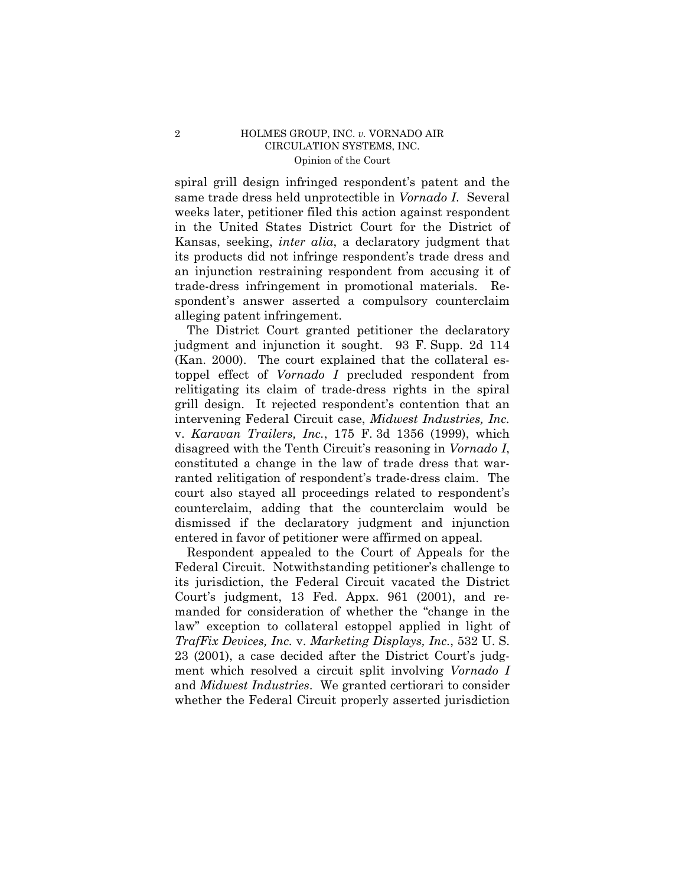spiral grill design infringed respondent's patent and the same trade dress held unprotectible in *Vornado I*. Several weeks later, petitioner filed this action against respondent in the United States District Court for the District of Kansas, seeking, *inter alia*, a declaratory judgment that its products did not infringe respondent's trade dress and an injunction restraining respondent from accusing it of trade-dress infringement in promotional materials. Respondent's answer asserted a compulsory counterclaim alleging patent infringement.

The District Court granted petitioner the declaratory judgment and injunction it sought. 93 F. Supp. 2d 114 (Kan. 2000). The court explained that the collateral estoppel effect of *Vornado I* precluded respondent from relitigating its claim of trade-dress rights in the spiral grill design. It rejected respondent's contention that an intervening Federal Circuit case, *Midwest Industries, Inc.* v. *Karavan Trailers, Inc.*, 175 F. 3d 1356 (1999), which disagreed with the Tenth Circuit's reasoning in *Vornado I*, constituted a change in the law of trade dress that warranted relitigation of respondent's trade-dress claim. The court also stayed all proceedings related to respondent's counterclaim, adding that the counterclaim would be dismissed if the declaratory judgment and injunction entered in favor of petitioner were affirmed on appeal.

Respondent appealed to the Court of Appeals for the Federal Circuit. Notwithstanding petitioner's challenge to its jurisdiction, the Federal Circuit vacated the District Courtís judgment, 13 Fed. Appx. 961 (2001), and remanded for consideration of whether the "change in the law" exception to collateral estoppel applied in light of *TrafFix Devices, Inc.* v. *Marketing Displays, Inc.*, 532 U. S. 23 (2001), a case decided after the District Court's judgment which resolved a circuit split involving *Vornado I* and *Midwest Industries*. We granted certiorari to consider whether the Federal Circuit properly asserted jurisdiction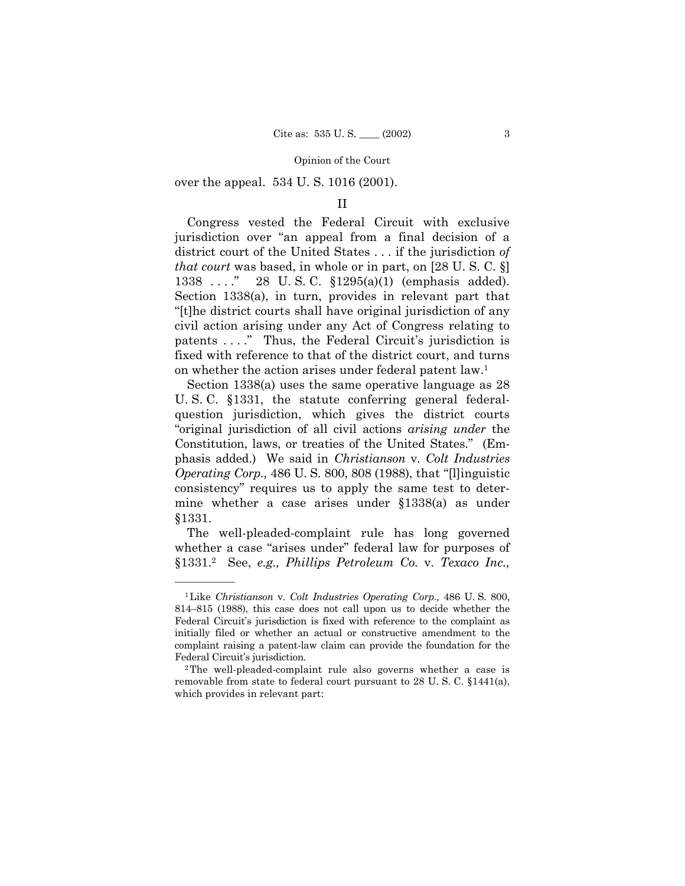over the appeal. 534 U.S. 1016 (2001).

### $\rm II$

Congress vested the Federal Circuit with exclusive jurisdiction over "an appeal from a final decision of a district court of the United States . . . if the jurisdiction of *that court* was based, in whole or in part, on [28 U.S.C. §]  $1338 \ldots$ ." 28 U.S.C.  $$1295(a)(1)$  (emphasis added). Section  $1338(a)$ , in turn, provides in relevant part that "[t] he district courts shall have original jurisdiction of any civil action arising under any Act of Congress relating to patents ...." Thus, the Federal Circuit's jurisdiction is fixed with reference to that of the district court, and turns on whether the action arises under federal patent law.<sup>1</sup>

Section 1338(a) uses the same operative language as  $28$ U.S.C. §1331, the statute conferring general federalquestion jurisdiction, which gives the district courts "original jurisdiction of all civil actions *arising under* the Constitution, laws, or treaties of the United States." (Emphasis added.) We said in Christianson v. Colt Industries *Operating Corp.*, 486 U.S. 800, 808 (1988), that "[l]inguistic consistency" requires us to apply the same test to determine whether a case arises under  $$1338(a)$  as under §1331.

The well-pleaded-complaint rule has long governed whether a case "arises under" federal law for purposes of §1331.<sup>2</sup> See, e.g., Phillips Petroleum Co. v. Texaco Inc.,

<sup>&</sup>lt;sup>1</sup>Like Christianson v. Colt Industries Operating Corp., 486 U.S. 800, 814–815 (1988), this case does not call upon us to decide whether the Federal Circuit's jurisdiction is fixed with reference to the complaint as initially filed or whether an actual or constructive amendment to the complaint raising a patent-law claim can provide the foundation for the Federal Circuit's jurisdiction.

<sup>&</sup>lt;sup>2</sup>The well-pleaded-complaint rule also governs whether a case is removable from state to federal court pursuant to 28 U.S.C. §1441(a), which provides in relevant part: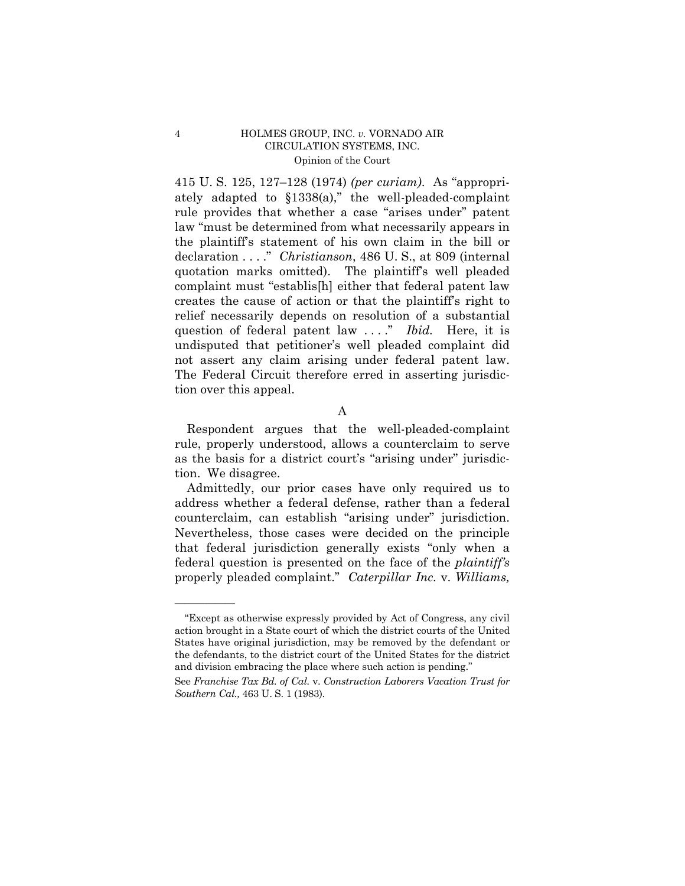415 U.S. 125, 127-128 (1974) (per curiam). As "appropriately adapted to  $$1338(a)$ ," the well-pleaded-complaint rule provides that whether a case "arises under" patent law "must be determined from what necessarily appears in the plaintiff's statement of his own claim in the bill or declaration ...." Christianson, 486 U.S., at 809 (internal quotation marks omitted). The plaintiff's well pleaded complaint must "establis<sup>[h]</sup> either that federal patent law creates the cause of action or that the plaintiff's right to relief necessarily depends on resolution of a substantial question of federal patent law ...." Ibid. Here, it is undisputed that petitioner's well pleaded complaint did not assert any claim arising under federal patent law. The Federal Circuit therefore erred in asserting jurisdiction over this appeal.

 $\mathbf{A}$ 

Respondent argues that the well-pleaded-complaint rule, properly understood, allows a counterclaim to serve as the basis for a district court's "arising under" jurisdiction. We disagree.

Admittedly, our prior cases have only required us to address whether a federal defense, rather than a federal counterclaim, can establish "arising under" jurisdiction. Nevertheless, those cases were decided on the principle that federal jurisdiction generally exists "only when a federal question is presented on the face of the *plaintiff's* properly pleaded complaint." Caterpillar Inc. v. Williams,

 $\overline{4}$ 

<sup>&</sup>quot;Except as otherwise expressly provided by Act of Congress, any civil action brought in a State court of which the district courts of the United States have original jurisdiction, may be removed by the defendant or the defendants, to the district court of the United States for the district and division embracing the place where such action is pending."

See Franchise Tax Bd. of Cal. v. Construction Laborers Vacation Trust for Southern Cal., 463 U.S. 1 (1983).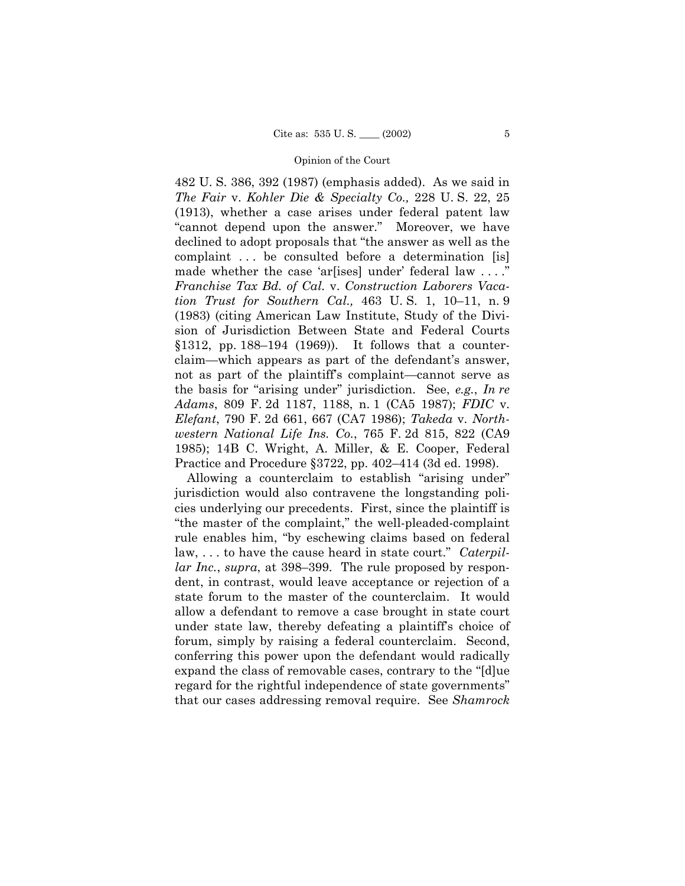482 U.S. 386, 392 (1987) (emphasis added). As we said in The Fair v. Kohler Die & Specialty Co., 228 U.S. 22, 25  $(1913)$ , whether a case arises under federal patent law "cannot depend upon the answer." Moreover, we have declined to adopt proposals that "the answer as well as the complaint ... be consulted before a determination [is] made whether the case 'ar[ises] under' federal law .... Franchise Tax Bd. of Cal. v. Construction Laborers Vacation Trust for Southern Cal., 463 U.S. 1, 10-11, n. 9 (1983) (citing American Law Institute, Study of the Division of Jurisdiction Between State and Federal Courts  $$1312$ , pp. 188–194 (1969)). It follows that a counterclaim—which appears as part of the defendant's answer, not as part of the plaintiff's complaint—cannot serve as the basis for "arising under" jurisdiction. See, e.g., In re Adams, 809 F. 2d 1187, 1188, n. 1 (CA5 1987); FDIC v. *Elefant*, 790 F. 2d 661, 667 (CA7 1986); Takeda v. Northwestern National Life Ins. Co., 765 F. 2d 815, 822 (CA9 1985); 14B C. Wright, A. Miller, & E. Cooper, Federal Practice and Procedure  $\S 3722$ , pp. 402–414 (3d ed. 1998).

Allowing a counterclaim to establish "arising under" jurisdiction would also contravene the longstanding policies underlying our precedents. First, since the plaintiff is "the master of the complaint," the well-pleaded-complaint rule enables him, "by eschewing claims based on federal  $law, \ldots$  to have the cause heard in state court." Caterpil*lar Inc., supra, at 398–399.* The rule proposed by respondent, in contrast, would leave acceptance or rejection of a state forum to the master of the counterclaim. It would allow a defendant to remove a case brought in state court under state law, thereby defeating a plaintiff's choice of forum, simply by raising a federal counterclaim. Second, conferring this power upon the defendant would radically expand the class of removable cases, contrary to the "[d]ue regard for the rightful independence of state governments" that our cases addressing removal require. See Shamrock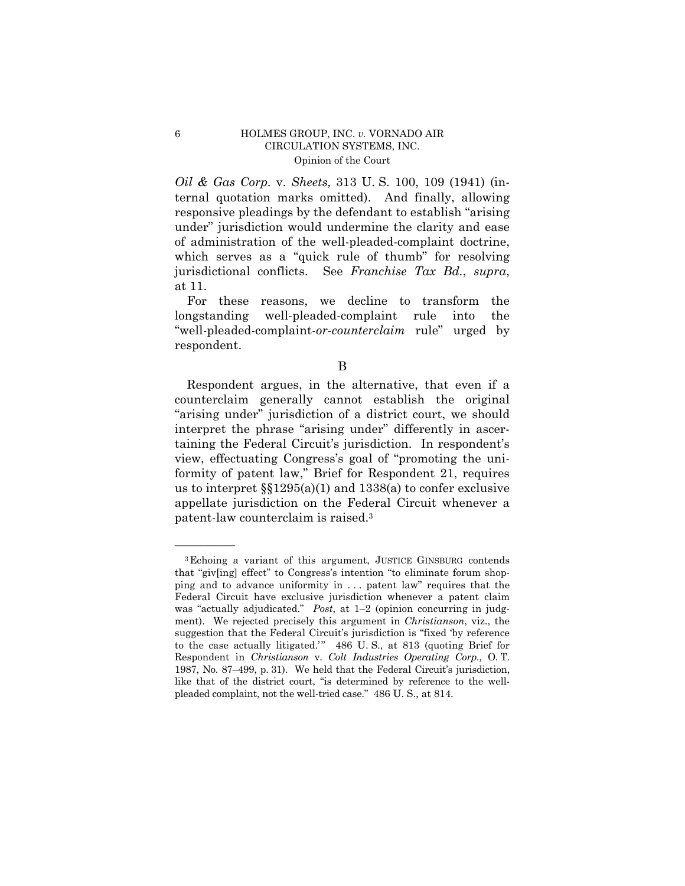*Oil & Gas Corp.* v. *Sheets*, 313 U.S. 100, 109 (1941) (internal quotation marks omitted). And finally, allowing responsive pleadings by the defendant to establish "arising under" jurisdiction would undermine the clarity and ease of administration of the well-pleaded-complaint doctrine, which serves as a "quick rule of thumb" for resolving jurisdictional conflicts. See Franchise Tax Bd., supra, at 11.

For these reasons, we decline to transform the longstanding well-pleaded-complaint rule into the "well-pleaded-complaint-or-counterclaim rule" urged by respondent.

B

Respondent argues, in the alternative, that even if a counterclaim generally cannot establish the original "arising under" jurisdiction of a district court, we should interpret the phrase "arising under" differently in ascertaining the Federal Circuit's jurisdiction. In respondent's view, effectuating Congress's goal of "promoting the uniformity of patent law," Brief for Respondent 21, requires us to interpret  $\S$ [1295(a)(1) and 1338(a) to confer exclusive appellate jurisdiction on the Federal Circuit whenever a patent-law counterclaim is raised.<sup>3</sup>

 $\,6\,$ 

<sup>&</sup>lt;sup>3</sup>Echoing a variant of this argument, JUSTICE GINSBURG contends that "giv[ing] effect" to Congress's intention "to eliminate forum shopping and to advance uniformity in ... patent law" requires that the Federal Circuit have exclusive jurisdiction whenever a patent claim was "actually adjudicated." Post, at 1-2 (opinion concurring in judgment). We rejected precisely this argument in *Christianson*, viz., the suggestion that the Federal Circuit's jurisdiction is "fixed 'by reference to the case actually litigated." 486 U.S., at 813 (quoting Brief for Respondent in Christianson v. Colt Industries Operating Corp., O.T. 1987, No. 87–499, p. 31). We held that the Federal Circuit's jurisdiction, like that of the district court, "is determined by reference to the wellpleaded complaint, not the well-tried case." 486 U.S., at 814.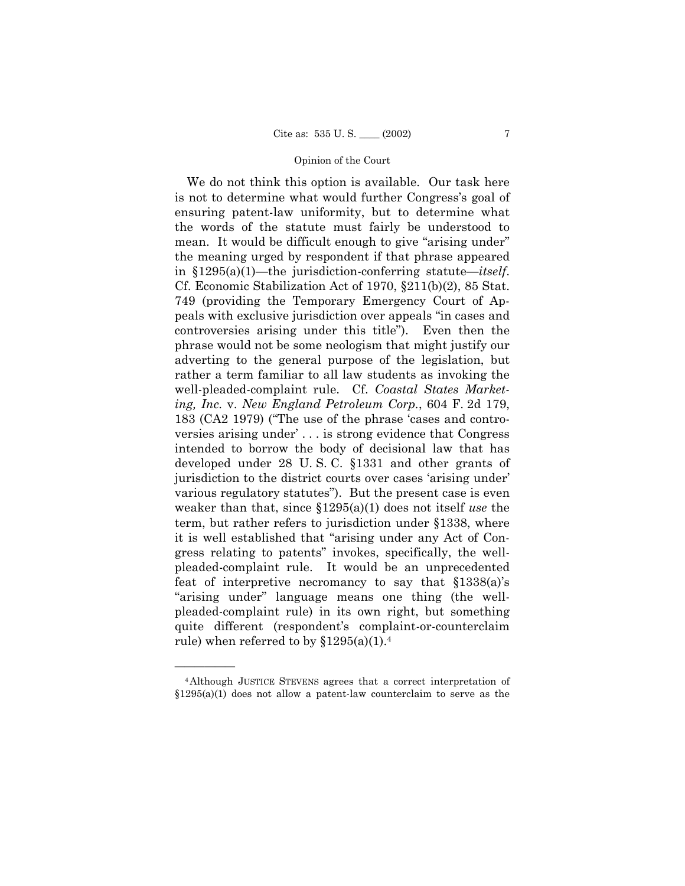We do not think this option is available. Our task here is not to determine what would further Congress's goal of ensuring patent-law uniformity, but to determine what the words of the statute must fairly be understood to mean. It would be difficult enough to give "arising under" the meaning urged by respondent if that phrase appeared in  $$1295(a)(1)$ —the jurisdiction-conferring statute—*itself*. Cf. Economic Stabilization Act of 1970,  $\S 211(b)(2)$ , 85 Stat. 749 (providing the Temporary Emergency Court of Appeals with exclusive jurisdiction over appeals "in cases and controversies arising under this title"). Even then the phrase would not be some neologism that might justify our adverting to the general purpose of the legislation, but rather a term familiar to all law students as invoking the well-pleaded-complaint rule. Cf. Coastal States Marketing, Inc. v. New England Petroleum Corp., 604 F. 2d 179, 183 (CA2 1979) ("The use of the phrase 'cases and controversies arising under ... is strong evidence that Congress intended to borrow the body of decisional law that has developed under  $28$  U.S.C.  $\S$ 1331 and other grants of jurisdiction to the district courts over cases 'arising under' various regulatory statutes"). But the present case is even weaker than that, since  $$1295(a)(1)$  does not itself use the term, but rather refers to jurisdiction under §1338, where it is well established that "arising under any Act of Congress relating to patents" invokes, specifically, the wellpleaded-complaint rule. It would be an unprecedented feat of interpretive necromancy to say that  $$1338(a)$ 's "arising under" language means one thing (the wellpleaded-complaint rule) in its own right, but something quite different (respondent's complaint-or-counterclaim rule) when referred to by  $$1295(a)(1).4$ 

<sup>&</sup>lt;sup>4</sup>Although JUSTICE STEVENS agrees that a correct interpretation of  $\S1295(a)(1)$  does not allow a patent-law counterclaim to serve as the